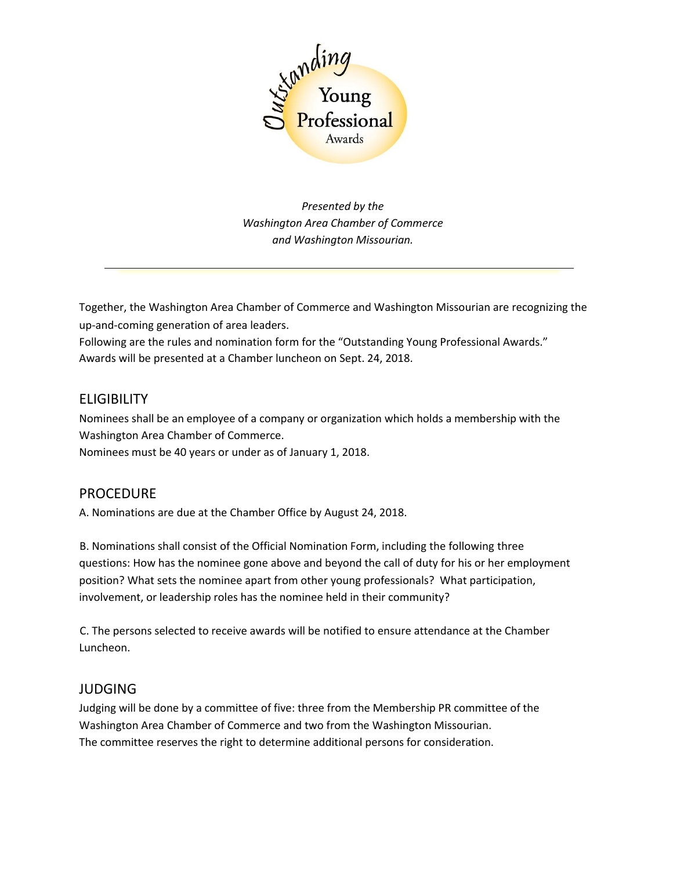

*Presented by the Washington Area Chamber of Commerce and Washington Missourian.*

Together, the Washington Area Chamber of Commerce and Washington Missourian are recognizing the up-and-coming generation of area leaders.

Following are the rules and nomination form for the "Outstanding Young Professional Awards." Awards will be presented at a Chamber luncheon on Sept. 24, 2018.

## **ELIGIBILITY**

Nominees shall be an employee of a company or organization which holds a membership with the Washington Area Chamber of Commerce.

Nominees must be 40 years or under as of January 1, 2018.

## PROCEDURE

A. Nominations are due at the Chamber Office by August 24, 2018.

B. Nominations shall consist of the Official Nomination Form, including the following three questions: How has the nominee gone above and beyond the call of duty for his or her employment position? What sets the nominee apart from other young professionals? What participation, involvement, or leadership roles has the nominee held in their community?

C. The persons selected to receive awards will be notified to ensure attendance at the Chamber Luncheon.

## JUDGING

Judging will be done by a committee of five: three from the Membership PR committee of the Washington Area Chamber of Commerce and two from the Washington Missourian. The committee reserves the right to determine additional persons for consideration.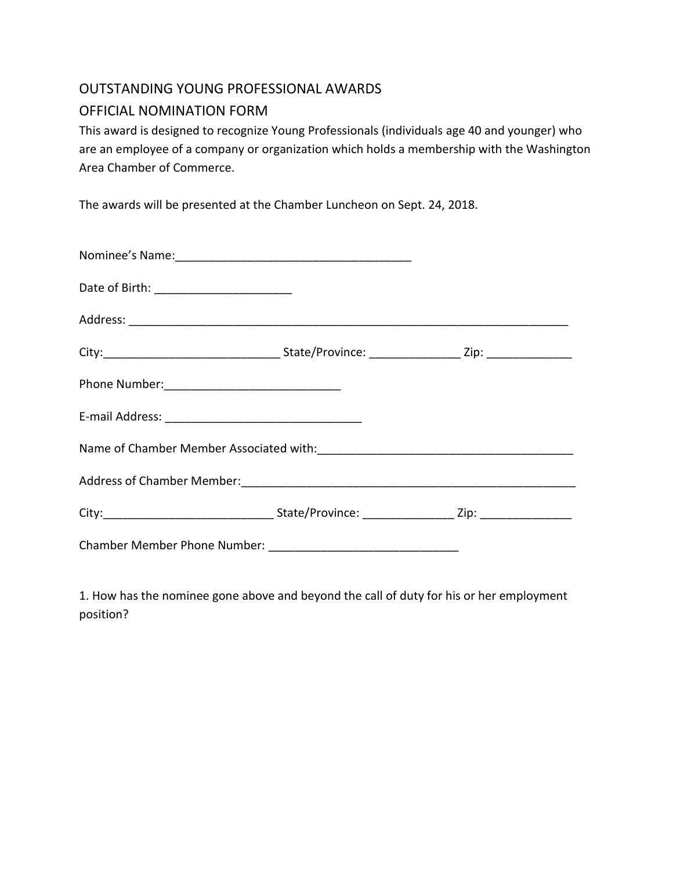## OUTSTANDING YOUNG PROFESSIONAL AWARDS OFFICIAL NOMINATION FORM

This award is designed to recognize Young Professionals (individuals age 40 and younger) who are an employee of a company or organization which holds a membership with the Washington Area Chamber of Commerce.

The awards will be presented at the Chamber Luncheon on Sept. 24, 2018.

1. How has the nominee gone above and beyond the call of duty for his or her employment position?